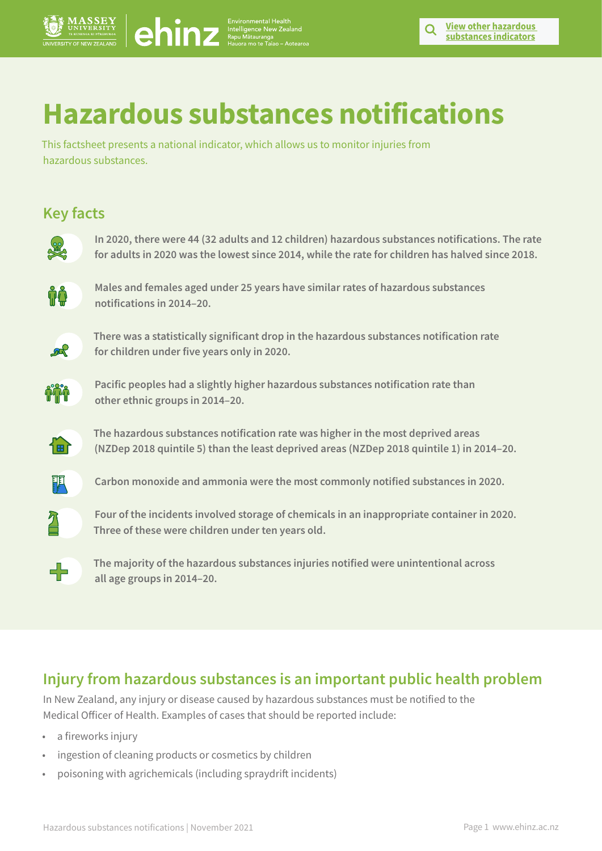# **Hazardous substances notifications**

This factsheet presents a national indicator, which allows us to monitor injuries from hazardous substances.

# **Key facts**

**In 2020, there were 44 (32 adults and 12 children) hazardous substances notifications. The rate for adults in 2020 was the lowest since 2014, while the rate for children has halved since 2018. Hazardous substances notifications in the method in the method in the method in the method in the method in the method in the method in the method in the method in the method in the method in the method in the method in** 



**Males and females aged under 25 years have similar rates of hazardous substances notifications in 2014–20.**



**There was a statistically significant drop in the hazardous substances notification rate for children under five years only in 2020.**



**Pacific peoples had a slightly higher hazardous substances notification rate than other ethnic groups in 2014–20.** 



**The hazardous substances notification rate was higher in the most deprived areas (NZDep 2018 quintile 5) than the least deprived areas (NZDep 2018 quintile 1) in 2014–20.**



**Carbon monoxide and ammonia were the most commonly notified substances in 2020.** 



**Four of the incidents involved storage of chemicals in an inappropriate container in 2020. Three of these were children under ten years old.**



**The majority of the hazardous substances injuries notified were unintentional across all age groups in 2014–20.**

### **Injury from hazardous substances is an important public health problem**

In New Zealand, any injury or disease caused by hazardous substances must be notified to the Medical Officer of Health. Examples of cases that should be reported include:

- a fireworks injury
- ingestion of cleaning products or cosmetics by children
- poisoning with agrichemicals (including spraydrift incidents)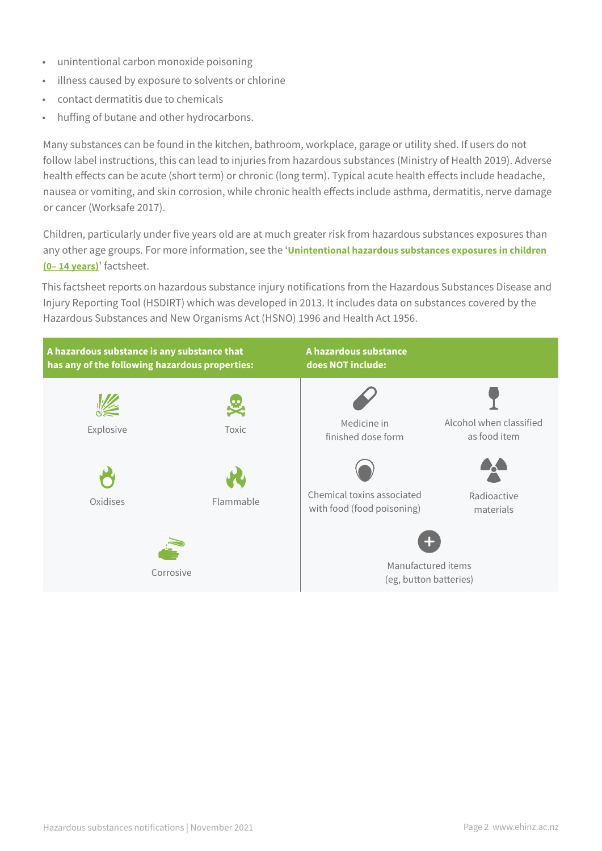- unintentional carbon monoxide poisoning
- illness caused by exposure to solvents or chlorine
- contact dermatitis due to chemicals
- huffing of butane and other hydrocarbons.

Many substances can be found in the kitchen, bathroom, workplace, garage or utility shed. If users do not follow label instructions, this can lead to injuries from hazardous substances (Ministry of Health 2019). Adverse health effects can be acute (short term) or chronic (long term). Typical acute health effects include headache, nausea or vomiting, and skin corrosion, while chronic health effects include asthma, dermatitis, nerve damage or cancer (Worksafe 2017).

Children, particularly under five years old are at much greater risk from hazardous substances exposures than any other age groups. For more information, see the '**[Unintentional hazardous substances exposures in children](https://www.ehinz.ac.nz/indicators/hazardous-substances/unintentional-hazardous-substance-exposures-in-children-014-years/)  [\(0– 14 years\)](https://www.ehinz.ac.nz/indicators/hazardous-substances/unintentional-hazardous-substance-exposures-in-children-014-years/)**' factsheet.

This factsheet reports on hazardous substance injury notifications from the Hazardous Substances Disease and Injury Reporting Tool (HSDIRT) which was developed in 2013. It includes data on substances covered by the Hazardous Substances and New Organisms Act (HSNO) 1996 and Health Act 1956.

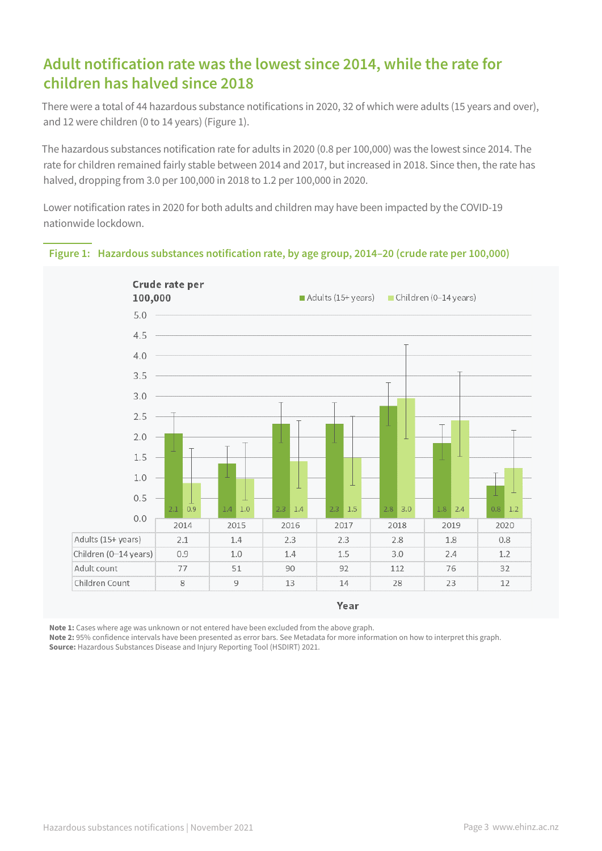### **Adult notification rate was the lowest since 2014, while the rate for children has halved since 2018**

There were a total of 44 hazardous substance notifications in 2020, 32 of which were adults (15 years and over), and 12 were children (0 to 14 years) (Figure 1).

The hazardous substances notification rate for adults in 2020 (0.8 per 100,000) was the lowest since 2014. The rate for children remained fairly stable between 2014 and 2017, but increased in 2018. Since then, the rate has halved, dropping from 3.0 per 100,000 in 2018 to 1.2 per 100,000 in 2020.

Lower notification rates in 2020 for both adults and children may have been impacted by the COVID-19 nationwide lockdown.





**Note 1:** Cases where age was unknown or not entered have been excluded from the above graph.

**Note 2:** 95% confidence intervals have been presented as error bars. See Metadata for more information on how to interpret this graph. **Source:** Hazardous Substances Disease and Injury Reporting Tool (HSDIRT) 2021.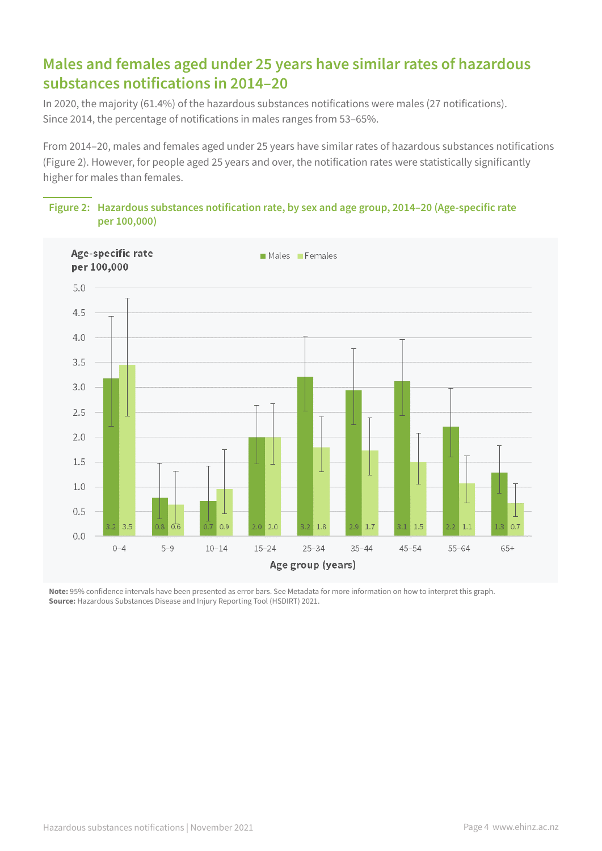# **Males and females aged under 25 years have similar rates of hazardous substances notifications in 2014–20**

In 2020, the majority (61.4%) of the hazardous substances notifications were males (27 notifications). Since 2014, the percentage of notifications in males ranges from 53–65%.

From 2014–20, males and females aged under 25 years have similar rates of hazardous substances notifications (Figure 2). However, for people aged 25 years and over, the notification rates were statistically significantly higher for males than females.





**Note:** 95% confidence intervals have been presented as error bars. See Metadata for more information on how to interpret this graph. **Source:** Hazardous Substances Disease and Injury Reporting Tool (HSDIRT) 2021.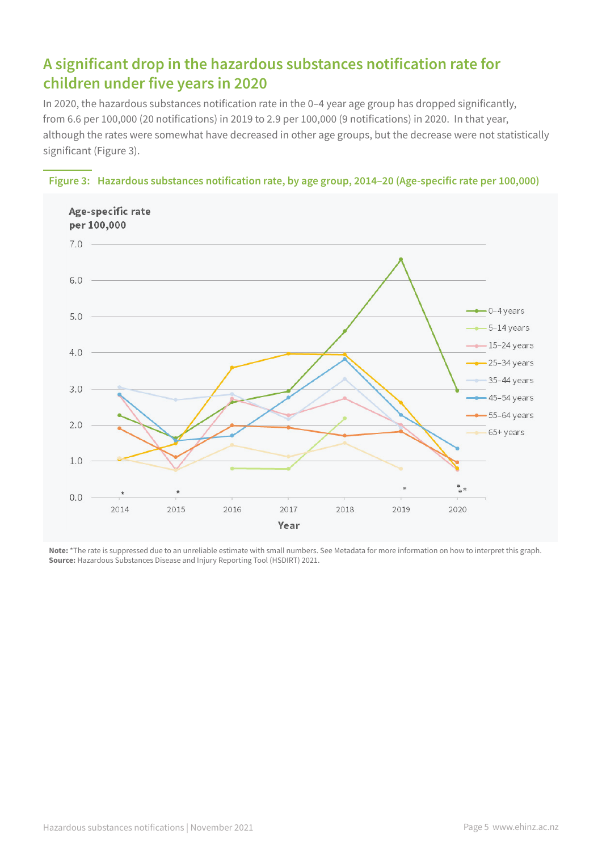# **A significant drop in the hazardous substances notification rate for children under five years in 2020**

In 2020, the hazardous substances notification rate in the 0–4 year age group has dropped significantly, from 6.6 per 100,000 (20 notifications) in 2019 to 2.9 per 100,000 (9 notifications) in 2020. In that year, although the rates were somewhat have decreased in other age groups, but the decrease were not statistically significant (Figure 3).





**Note:** \*The rate is suppressed due to an unreliable estimate with small numbers. See Metadata for more information on how to interpret this graph. **Source:** Hazardous Substances Disease and Injury Reporting Tool (HSDIRT) 2021.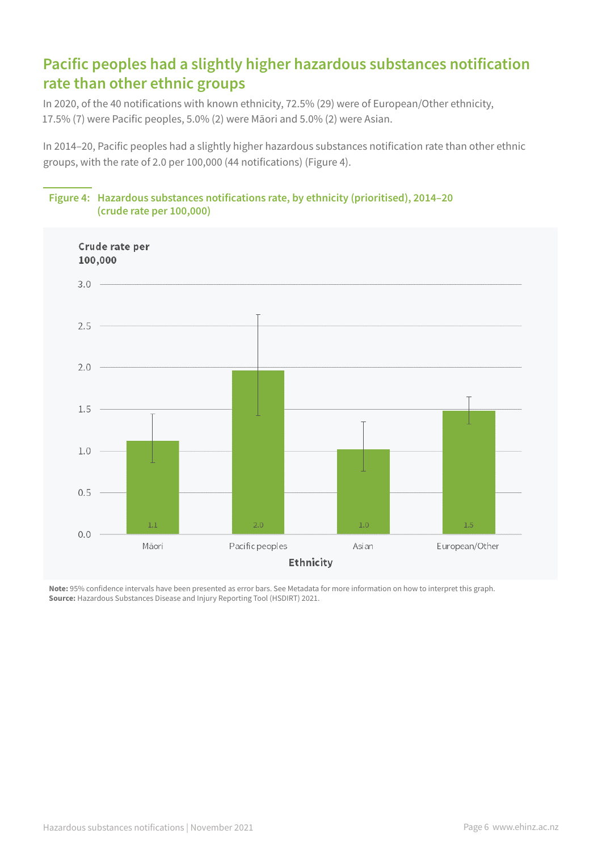# **Pacific peoples had a slightly higher hazardous substances notification rate than other ethnic groups**

In 2020, of the 40 notifications with known ethnicity, 72.5% (29) were of European/Other ethnicity, 17.5% (7) were Pacific peoples, 5.0% (2) were Māori and 5.0% (2) were Asian.

In 2014–20, Pacific peoples had a slightly higher hazardous substances notification rate than other ethnic groups, with the rate of 2.0 per 100,000 (44 notifications) (Figure 4).



### **Figure 4: Hazardous substances notifications rate, by ethnicity (prioritised), 2014–20 (crude rate per 100,000)**

**Note:** 95% confidence intervals have been presented as error bars. See Metadata for more information on how to interpret this graph. **Source:** Hazardous Substances Disease and Injury Reporting Tool (HSDIRT) 2021.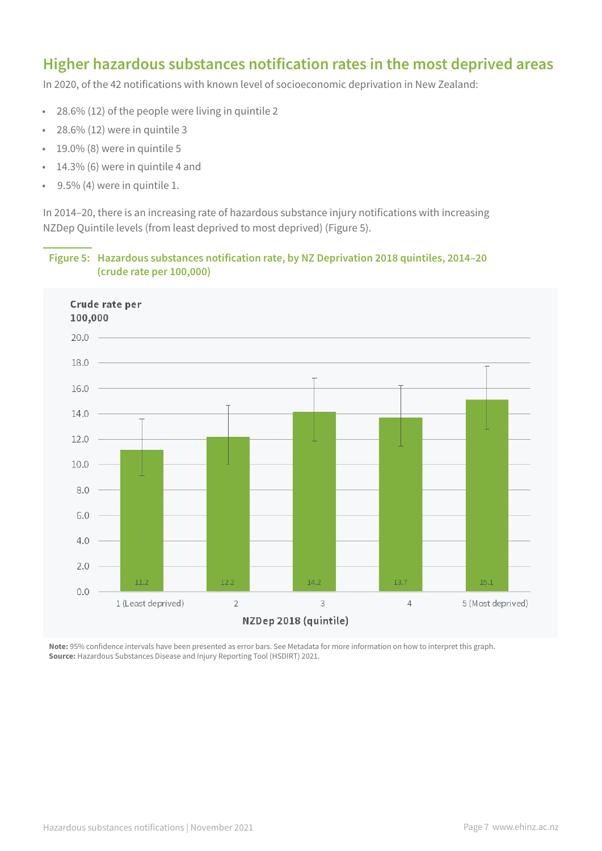### **Higher hazardous substances notification rates in the most deprived areas**

In 2020, of the 42 notifications with known level of socioeconomic deprivation in New Zealand:

- 28.6% (12) of the people were living in quintile 2
- 28.6% (12) were in quintile 3
- 19.0% (8) were in quintile 5
- 14.3% (6) were in quintile 4 and
- 9.5% (4) were in quintile 1.

In 2014–20, there is an increasing rate of hazardous substance injury notifications with increasing NZDep Quintile levels (from least deprived to most deprived) (Figure 5).

#### **Figure 5: Hazardous substances notification rate, by NZ Deprivation 2018 quintiles, 2014–20 (crude rate per 100,000)**



**Note:** 95% confidence intervals have been presented as error bars. See Metadata for more information on how to interpret this graph. **Source:** Hazardous Substances Disease and Injury Reporting Tool (HSDIRT) 2021.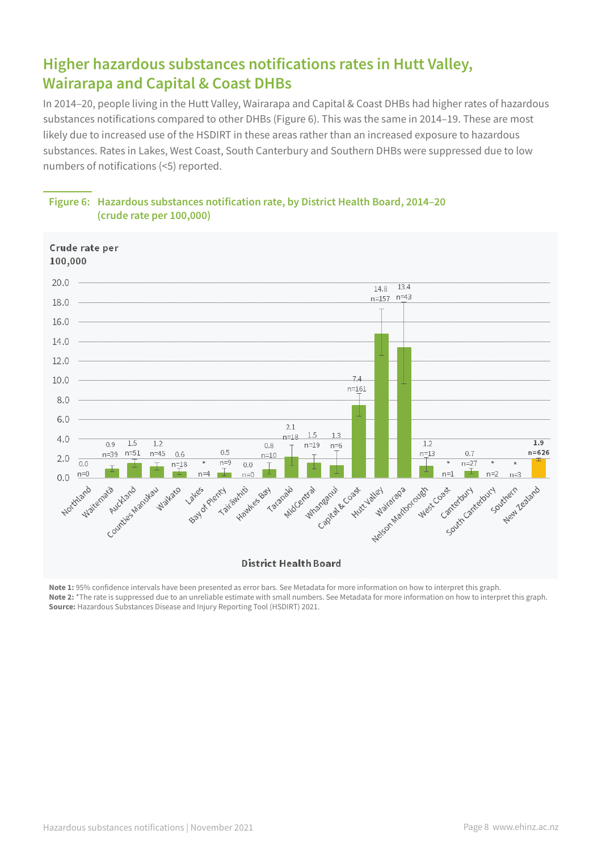# **Higher hazardous substances notifications rates in Hutt Valley, Wairarapa and Capital & Coast DHBs**

In 2014–20, people living in the Hutt Valley, Wairarapa and Capital & Coast DHBs had higher rates of hazardous substances notifications compared to other DHBs (Figure 6). This was the same in 2014–19. These are most likely due to increased use of the HSDIRT in these areas rather than an increased exposure to hazardous substances. Rates in Lakes, West Coast, South Canterbury and Southern DHBs were suppressed due to low numbers of notifications (<5) reported.





**Note 1:** 95% confidence intervals have been presented as error bars. See Metadata for more information on how to interpret this graph. **Note 2:** \*The rate is suppressed due to an unreliable estimate with small numbers. See Metadata for more information on how to interpret this graph. **Source:** Hazardous Substances Disease and Injury Reporting Tool (HSDIRT) 2021.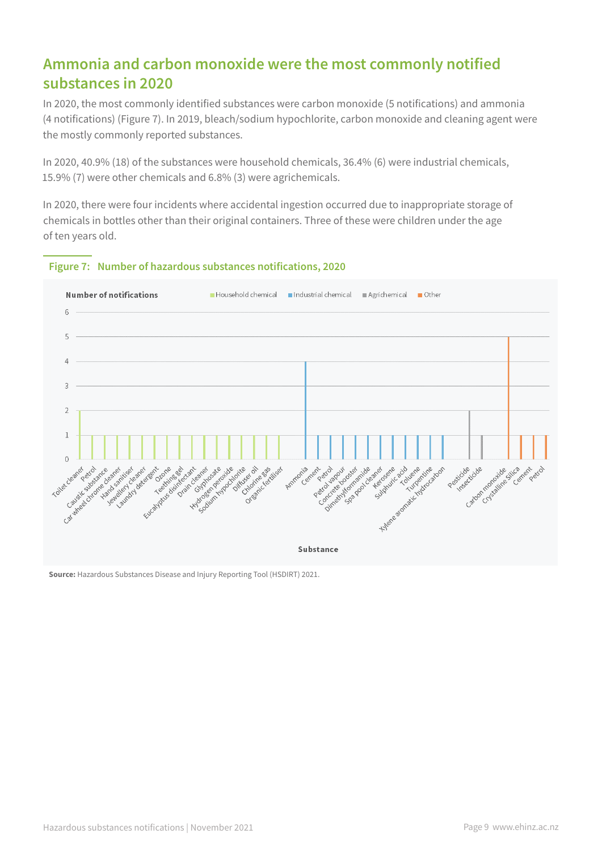### **Ammonia and carbon monoxide were the most commonly notified substances in 2020**

In 2020, the most commonly identified substances were carbon monoxide (5 notifications) and ammonia (4 notifications) (Figure 7). In 2019, bleach/sodium hypochlorite, carbon monoxide and cleaning agent were the mostly commonly reported substances.

In 2020, 40.9% (18) of the substances were household chemicals, 36.4% (6) were industrial chemicals, 15.9% (7) were other chemicals and 6.8% (3) were agrichemicals.

In 2020, there were four incidents where accidental ingestion occurred due to inappropriate storage of chemicals in bottles other than their original containers. Three of these were children under the age of ten years old.



#### **Figure 7: Number of hazardous substances notifications, 2020**

**Source:** Hazardous Substances Disease and Injury Reporting Tool (HSDIRT) 2021.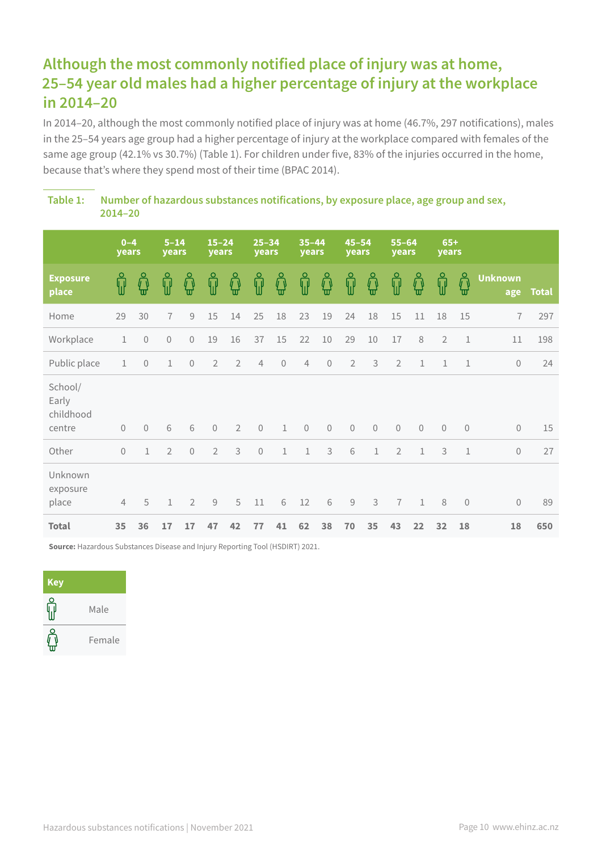# **Although the most commonly notified place of injury was at home, 25–54 year old males had a higher percentage of injury at the workplace in 2014–20**

In 2014–20, although the most commonly notified place of injury was at home (46.7%, 297 notifications), males in the 25–54 years age group had a higher percentage of injury at the workplace compared with females of the same age group (42.1% vs 30.7%) (Table 1). For children under five, 83% of the injuries occurred in the home, because that's where they spend most of their time (BPAC 2014).

**Table 1: Number of hazardous substances notifications, by exposure place, age group and sex, 2014–20**

|                                         | $0 - 4$<br>years |                | $5 - 14$<br>years |                | $15 - 24$<br>years |                | $25 - 34$<br>years |              | $35 - 44$<br>years |                | $45 - 54$<br>years |              | $55 - 64$<br>years |              | $65+$<br>years |                         |                       |              |
|-----------------------------------------|------------------|----------------|-------------------|----------------|--------------------|----------------|--------------------|--------------|--------------------|----------------|--------------------|--------------|--------------------|--------------|----------------|-------------------------|-----------------------|--------------|
| <b>Exposure</b><br>place                | Ŵ                | ⊕              | ရှိ               | ⊕              | ရှိ                | ក្លិ           | ႐ူ                 | ឰ            | ႐ူ                 | ជួ             | ဂူ                 | ∯            | ႐ူ                 | ជួ           | ႐ူ             | $\int_0^{\infty}$<br>'π | <b>Unknown</b><br>age | <b>Total</b> |
| Home                                    | 29               | 30             | $\overline{1}$    | $\mathcal G$   | $15\,$             | 14             | 25                 | 18           | 23                 | 19             | 24                 | 18           | 15                 | 11           | 18             | 15                      | $\overline{7}$        | 297          |
| Workplace                               | $\mathbf{1}$     | $\mathbf 0$    | $\mathbf 0$       | $\overline{0}$ | 19                 | 16             | 37                 | 15           | 22                 | $10\,$         | 29                 | 10           | 17                 | 8            | $\overline{2}$ | $\mathbf{1}$            | 11                    | 198          |
| Public place                            | $\mathbf{1}$     | $\mathbf 0$    | $\mathbf 1$       | $\sqrt{a}$     | $\overline{2}$     | $\overline{2}$ | $\overline{4}$     | $\sqrt{0}$   | $\overline{4}$     | $\overline{0}$ | $\overline{2}$     | $\mathsf 3$  | $\overline{2}$     | $\mathbf 1$  | $\mathbf{1}$   | $\mathbf{1}$            | $\Omega$              | 24           |
| School/<br>Early<br>childhood<br>centre | $\mathbf{0}$     | $\overline{0}$ | 6                 | 6              | $\mathbf 0$        | $\overline{2}$ | $\mathbf 0$        | $\mathbf{1}$ | $\mathbf 0$        | $\overline{0}$ | $\Omega$           | $\mathbf 0$  | $\mathbf 0$        | $\mathbf{0}$ | $\mathbf 0$    | $\theta$                | $\Omega$              | 15           |
| Other                                   | $\mathbf{0}$     | 1              | $\overline{2}$    | $\Omega$       | $\overline{2}$     | 3              | $\overline{0}$     | 1            | $\mathbf{1}$       | 3              | 6                  | $\mathbf{1}$ | $\overline{2}$     | $\mathbf{1}$ | 3              | $\mathbf{1}$            | $\Omega$              | 27           |
| Unknown<br>exposure<br>place            | $\overline{4}$   | 5              | $\mathbf{1}$      | $\overline{2}$ | 9                  | 5              | 11                 | 6            | 12                 | 6              | 9                  | 3            | $\overline{7}$     | $\mathbf{1}$ | 8              | $\overline{0}$          | $\overline{0}$        | 89           |
| <b>Total</b>                            | 35               | 36             | 17                | 17             | 47                 | 42             | 77                 | 41           | 62                 | 38             | 70                 | 35           | 43                 | 22           | 32             | 18                      | 18                    | 650          |

**Source:** Hazardous Substances Disease and Injury Reporting Tool (HSDIRT) 2021.

| <b>Key</b> |        |
|------------|--------|
|            | Male   |
|            | Female |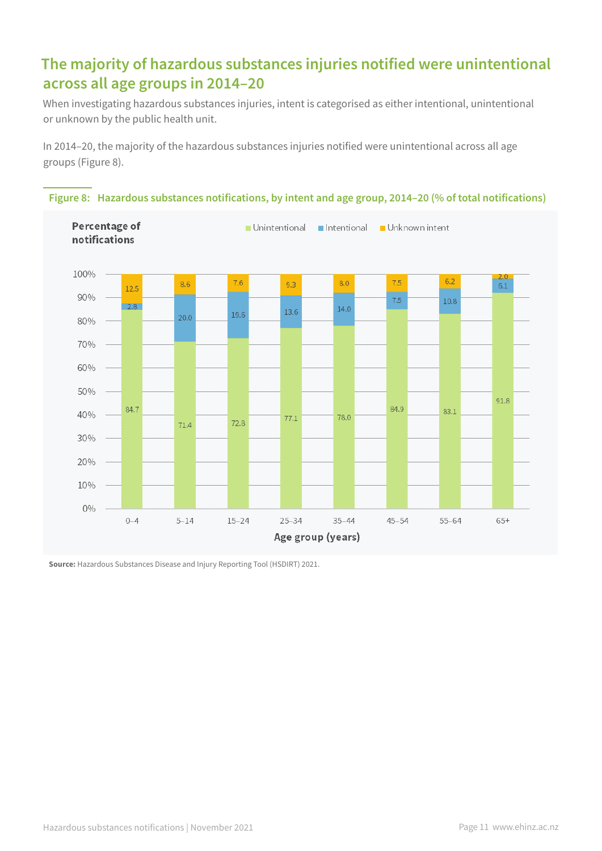# **The majority of hazardous substances injuries notified were unintentional across all age groups in 2014–20**

When investigating hazardous substances injuries, intent is categorised as either intentional, unintentional or unknown by the public health unit.

In 2014–20, the majority of the hazardous substances injuries notified were unintentional across all age groups (Figure 8).



**Figure 8: Hazardous substances notifications, by intent and age group, 2014–20 (% of total notifications)**

**Source:** Hazardous Substances Disease and Injury Reporting Tool (HSDIRT) 2021.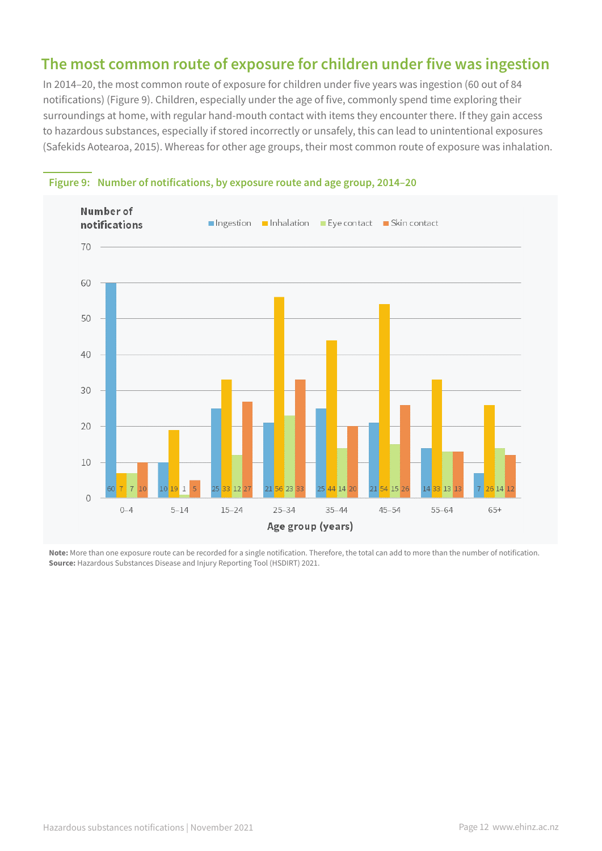### **The most common route of exposure for children under five was ingestion**

In 2014–20, the most common route of exposure for children under five years was ingestion (60 out of 84 notifications) (Figure 9). Children, especially under the age of five, commonly spend time exploring their surroundings at home, with regular hand-mouth contact with items they encounter there. If they gain access to hazardous substances, especially if stored incorrectly or unsafely, this can lead to unintentional exposures (Safekids Aotearoa, 2015). Whereas for other age groups, their most common route of exposure was inhalation.



#### **Figure 9: Number of notifications, by exposure route and age group, 2014–20**

**Note:** More than one exposure route can be recorded for a single notification. Therefore, the total can add to more than the number of notification. **Source:** Hazardous Substances Disease and Injury Reporting Tool (HSDIRT) 2021.